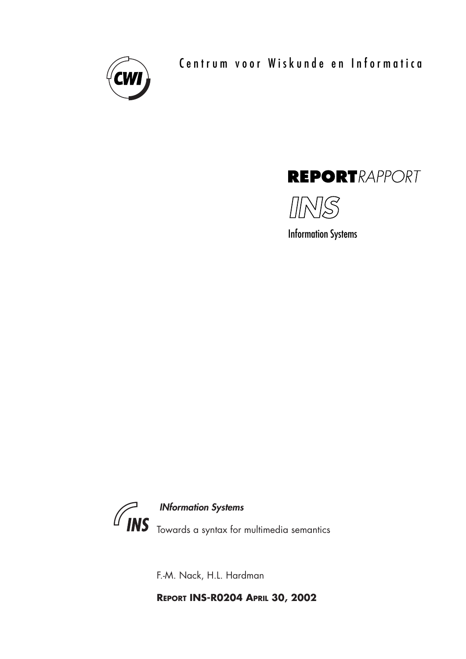

Centrum voor Wiskunde en Informatica





Information Systems



INformation Systems

Towards a syntax for multimedia semantics

F.-M. Nack, H.L. Hardman

**REPORT INS-R0204 APRIL 30, 2002**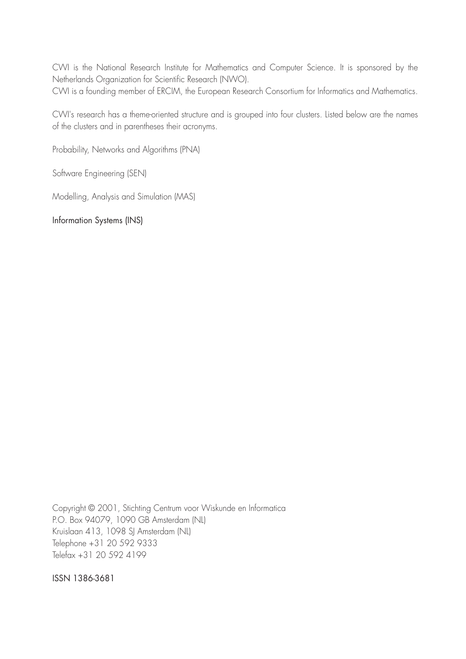CWI is the National Research Institute for Mathematics and Computer Science. It is sponsored by the Netherlands Organization for Scientific Research (NWO). CWI is a founding member of ERCIM, the European Research Consortium for Informatics and Mathematics.

CWI's research has a theme-oriented structure and is grouped into four clusters. Listed below are the names of the clusters and in parentheses their acronyms.

Probability, Networks and Algorithms (PNA)

Software Engineering (SEN)

Modelling, Analysis and Simulation (MAS)

Information Systems (INS)

Copyright © 2001, Stichting Centrum voor Wiskunde en Informatica P.O. Box 94079, 1090 GB Amsterdam (NL) Kruislaan 413, 1098 SJ Amsterdam (NL) Telephone +31 20 592 9333 Telefax +31 20 592 4199

ISSN 1386-3681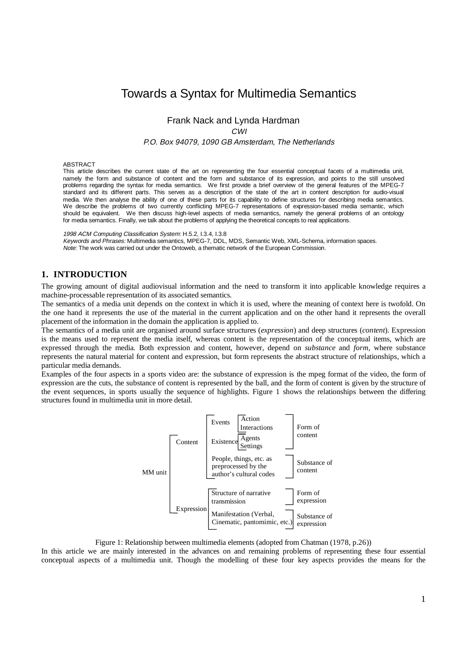# Towards a Syntax for Multimedia Semantics

Frank Nack and Lynda Hardman

CWI

P.O. Box 94079, 1090 GB Amsterdam, The Netherlands

#### ABSTRACT

This article describes the current state of the art on representing the four essential conceptual facets of a multimedia unit, namely the form and substance of content and the form and substance of its expression, and points to the still unsolved problems regarding the syntax for media semantics. We first provide a brief overview of the general features of the MPEG-7 standard and its different parts. This serves as a description of the state of the art in content description for audio-visual media. We then analyse the ability of one of these parts for its capability to define structures for describing media semantics. We describe the problems of two currently conflicting MPEG-7 representations of expression-based media semantic, which should be equivalent. We then discuss high-level aspects of media semantics, namely the general problems of an ontology for media semantics. Finally, we talk about the problems of applying the theoretical concepts to real applications.

1998 ACM Computing Classification System: H.5.2, I.3.4, I.3.8

Keywords and Phrases: Multimedia semantics, MPEG-7, DDL, MDS, Semantic Web, XML-Schema, information spaces. Note: The work was carried out under the Ontoweb, a thematic network of the European Commission.

# **1. INTRODUCTION**

The growing amount of digital audiovisual information and the need to transform it into applicable knowledge requires a machine-processable representation of its associated semantics.

The semantics of a media unit depends on the context in which it is used, where the meaning of context here is twofold. On the one hand it represents the use of the material in the current application and on the other hand it represents the overall placement of the information in the domain the application is applied to.

The semantics of a media unit are organised around surface structures (*expression*) and deep structures (*content*). Expression is the means used to represent the media itself, whereas content is the representation of the conceptual items, which are expressed through the media. Both expression and content, however, depend on *substance* and *form*, where substance represents the natural material for content and expression, but form represents the abstract structure of relationships, which a particular media demands.

Examples of the four aspects in a sports video are: the substance of expression is the mpeg format of the video, the form of expression are the cuts, the substance of content is represented by the ball, and the form of content is given by the structure of the event sequences, in sports usually the sequence of highlights. Figure 1 shows the relationships between the differing structures found in multimedia unit in more detail.



Figure 1: Relationship between multimedia elements (adopted from Chatman (1978, p.26))

In this article we are mainly interested in the advances on and remaining problems of representing these four essential conceptual aspects of a multimedia unit. Though the modelling of these four key aspects provides the means for the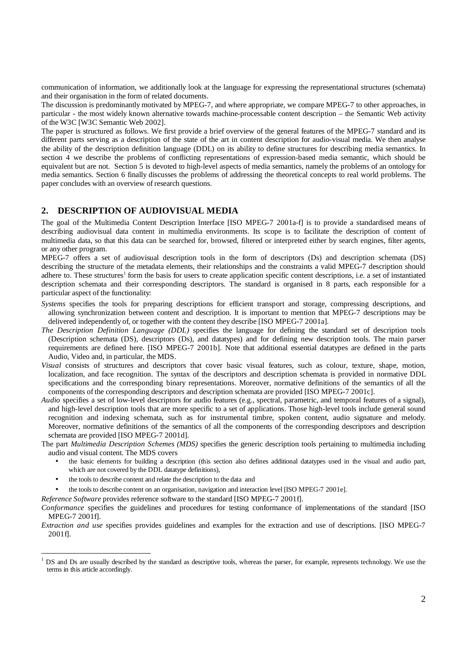communication of information, we additionally look at the language for expressing the representational structures (schemata) and their organisation in the form of related documents.

The discussion is predominantly motivated by MPEG-7, and where appropriate, we compare MPEG-7 to other approaches, in particular - the most widely known alternative towards machine-processable content description – the Semantic Web activity of the W3C [W3C Semantic Web 2002].

The paper is structured as follows. We first provide a brief overview of the general features of the MPEG-7 standard and its different parts serving as a description of the state of the art in content description for audio-visual media. We then analyse the ability of the description definition language (DDL) on its ability to define structures for describing media semantics. In section 4 we describe the problems of conflicting representations of expression-based media semantic, which should be equivalent but are not. Section 5 is devoted to high-level aspects of media semantics, namely the problems of an ontology for media semantics. Section 6 finally discusses the problems of addressing the theoretical concepts to real world problems. The paper concludes with an overview of research questions.

#### **2. DESCRIPTION OF AUDIOVISUAL MEDIA**

The goal of the Multimedia Content Description Interface [ISO MPEG-7 2001a-f] is to provide a standardised means of describing audiovisual data content in multimedia environments. Its scope is to facilitate the description of content of multimedia data, so that this data can be searched for, browsed, filtered or interpreted either by search engines, filter agents, or any other program.

MPEG-7 offers a set of audiovisual description tools in the form of descriptors (Ds) and description schemata (DS) describing the structure of the metadata elements, their relationships and the constraints a valid MPEG-7 description should adhere to. These structures<sup>1</sup> form the basis for users to create application specific content descriptions, i.e. a set of instantiated description schemata and their corresponding descriptors. The standard is organised in 8 parts, each responsible for a particular aspect of the functionality:

- *Systems* specifies the tools for preparing descriptions for efficient transport and storage, compressing descriptions, and allowing synchronization between content and description. It is important to mention that MPEG-7 descriptions may be delivered independently of, or together with the content they describe [ISO MPEG-7 2001a].
- *The Description Definition Language (DDL)* specifies the language for defining the standard set of description tools (Description schemata (DS), descriptors (Ds), and datatypes) and for defining new description tools. The main parser requirements are defined here. [ISO MPEG-7 2001b]. Note that additional essential datatypes are defined in the parts Audio, Video and, in particular, the MDS.
- *Visual* consists of structures and descriptors that cover basic visual features, such as colour, texture, shape, motion, localization, and face recognition. The syntax of the descriptors and description schemata is provided in normative DDL specifications and the corresponding binary representations. Moreover, normative definitions of the semantics of all the components of the corresponding descriptors and description schemata are provided [ISO MPEG-7 2001c].
- *Audio* specifies a set of low-level descriptors for audio features (e.g., spectral, parametric, and temporal features of a signal), and high-level description tools that are more specific to a set of applications. Those high-level tools include general sound recognition and indexing schemata, such as for instrumental timbre, spoken content, audio signature and melody. Moreover, normative definitions of the semantics of all the components of the corresponding descriptors and description schemata are provided [ISO MPEG-7 2001d].

The part *Multimedia Description Schemes (MDS)* specifies the generic description tools pertaining to multimedia including audio and visual content. The MDS covers

- the basic elements for building a description (this section also defines additional datatypes used in the visual and audio part, which are not covered by the DDL datatype definitions),
- the tools to describe content and relate the description to the data and
- the tools to describe content on an organisation, navigation and interaction level [ISO MPEG-7 2001e].

*Reference Software* provides reference software to the standard [ISO MPEG-7 2001f].

*Conformance* specifies the guidelines and procedures for testing conformance of implementations of the standard [ISO MPEG-7 2001f].

*Extraction and use* specifies provides guidelines and examples for the extraction and use of descriptions. [ISO MPEG-7 2001f].

 $\frac{1}{1}$  DS and Ds are usually described by the standard as descriptive tools, whereas the parser, for example, represents technology. We use the terms in this article accordingly.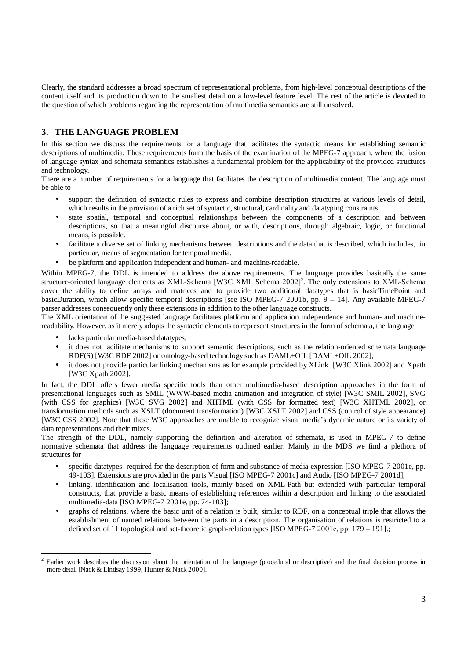Clearly, the standard addresses a broad spectrum of representational problems, from high-level conceptual descriptions of the content itself and its production down to the smallest detail on a low-level feature level. The rest of the article is devoted to the question of which problems regarding the representation of multimedia semantics are still unsolved.

# **3. THE LANGUAGE PROBLEM**

In this section we discuss the requirements for a language that facilitates the syntactic means for establishing semantic descriptions of multimedia. These requirements form the basis of the examination of the MPEG-7 approach, where the fusion of language syntax and schemata semantics establishes a fundamental problem for the applicability of the provided structures and technology.

There are a number of requirements for a language that facilitates the description of multimedia content. The language must be able to

- support the definition of syntactic rules to express and combine description structures at various levels of detail, which results in the provision of a rich set of syntactic, structural, cardinality and datatyping constraints.
- state spatial, temporal and conceptual relationships between the components of a description and between descriptions, so that a meaningful discourse about, or with, descriptions, through algebraic, logic, or functional means, is possible.
- facilitate a diverse set of linking mechanisms between descriptions and the data that is described, which includes, in particular, means of segmentation for temporal media.
- be platform and application independent and human- and machine-readable.

Within MPEG-7, the DDL is intended to address the above requirements. The language provides basically the same structure-oriented language elements as XML-Schema [W3C XML Schema 2002]<sup>2</sup>. The only extensions to XML-Schema cover the ability to define arrays and matrices and to provide two additional datatypes that is basicTimePoint and basicDuration, which allow specific temporal descriptions [see ISO MPEG-7 2001b, pp.  $9 - 14$ ]. Any available MPEG-7 parser addresses consequently only these extensions in addition to the other language constructs.

The XML orientation of the suggested language facilitates platform and application independence and human- and machinereadability. However, as it merely adopts the syntactic elements to represent structures in the form of schemata, the language

- lacks particular media-based datatypes,
- it does not facilitate mechanisms to support semantic descriptions, such as the relation-oriented schemata language RDF(S) [W3C RDF 2002] or ontology-based technology such as DAML+OIL [DAML+OIL 2002],
- it does not provide particular linking mechanisms as for example provided by XLink [W3C Xlink 2002] and Xpath [W3C Xpath 2002].

In fact, the DDL offers fewer media specific tools than other multimedia-based description approaches in the form of presentational languages such as SMIL (WWW-based media animation and integration of style) [W3C SMIL 2002], SVG (with CSS for graphics) [W3C SVG 2002] and XHTML (with CSS for formatted text) [W3C XHTML 2002], or transformation methods such as XSLT (document transformation) [W3C XSLT 2002] and CSS (control of style appearance) [W3C CSS 2002]. Note that these W3C approaches are unable to recognize visual media's dynamic nature or its variety of data representations and their mixes.

The strength of the DDL, namely supporting the definition and alteration of schemata, is used in MPEG-7 to define normative schemata that address the language requirements outlined earlier. Mainly in the MDS we find a plethora of structures for

- specific datatypes required for the description of form and substance of media expression [ISO MPEG-7 2001e, pp. 49-103]. Extensions are provided in the parts Visual [ISO MPEG-7 2001c] and Audio [ISO MPEG-7 2001d];
- linking, identification and localisation tools, mainly based on XML-Path but extended with particular temporal constructs, that provide a basic means of establishing references within a description and linking to the associated multimedia-data [ISO MPEG-7 2001e, pp. 74-103];
- graphs of relations, where the basic unit of a relation is built, similar to RDF, on a conceptual triple that allows the establishment of named relations between the parts in a description. The organisation of relations is restricted to a defined set of 11 topological and set-theoretic graph-relation types [ISO MPEG-7 2001e, pp. 179 – 191].;

 $\frac{1}{2}$  Earlier work describes the discussion about the orientation of the language (procedural or descriptive) and the final decision process in more detail [Nack & Lindsay 1999, Hunter & Nack 2000].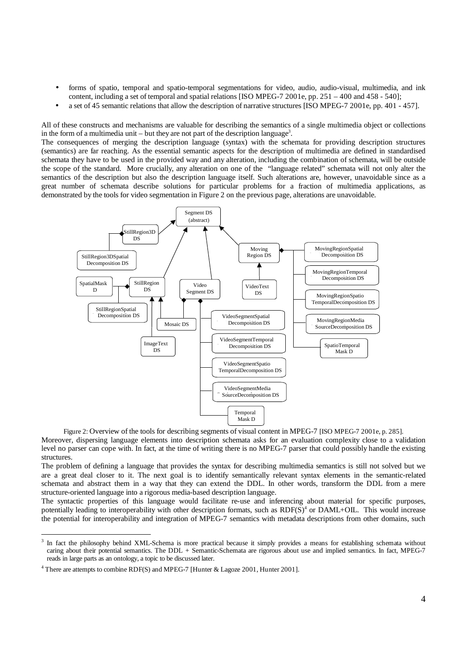- forms of spatio, temporal and spatio-temporal segmentations for video, audio, audio-visual, multimedia, and ink content, including a set of temporal and spatial relations [ISO MPEG-7 2001e, pp. 251 – 400 and 458 - 540];
- a set of 45 semantic relations that allow the description of narrative structures [ISO MPEG-7 2001e, pp. 401 457].

All of these constructs and mechanisms are valuable for describing the semantics of a single multimedia object or collections in the form of a multimedia unit  $-$  but they are not part of the description language<sup>3</sup>.

The consequences of merging the description language (syntax) with the schemata for providing description structures (semantics) are far reaching. As the essential semantic aspects for the description of multimedia are defined in standardised schemata they have to be used in the provided way and any alteration, including the combination of schemata, will be outside the scope of the standard. More crucially, any alteration on one of the "language related" schemata will not only alter the semantics of the description but also the description language itself. Such alterations are, however, unavoidable since as a great number of schemata describe solutions for particular problems for a fraction of multimedia applications, as demonstrated by the tools for video segmentation in Figure 2 on the previous page, alterations are unavoidable.



Figure 2: Overview of the tools for describing segments of visual content in MPEG-7 [ISO MPEG-7 2001e, p. 285]. Moreover, dispersing language elements into description schemata asks for an evaluation complexity close to a validation level no parser can cope with. In fact, at the time of writing there is no MPEG-7 parser that could possibly handle the existing structures.

The problem of defining a language that provides the syntax for describing multimedia semantics is still not solved but we are a great deal closer to it. The next goal is to identify semantically relevant syntax elements in the semantic-related schemata and abstract them in a way that they can extend the DDL. In other words, transform the DDL from a mere structure-oriented language into a rigorous media-based description language.

The syntactic properties of this language would facilitate re-use and inferencing about material for specific purposes, potentially leading to interoperability with other description formats, such as  $RDF(S)^4$  or  $DAML+OL$ . This would increase the potential for interoperability and integration of MPEG-7 semantics with metadata descriptions from other domains, such

 $\frac{1}{3}$  $3$  In fact the philosophy behind XML-Schema is more practical because it simply provides a means for establishing schemata without caring about their potential semantics. The DDL + Semantic-Schemata are rigorous about use and implied semantics. In fact, MPEG-7 reads in large parts as an ontology, a topic to be discussed later.

<sup>4</sup> There are attempts to combine RDF(S) and MPEG-7 [Hunter & Lagoze 2001, Hunter 2001].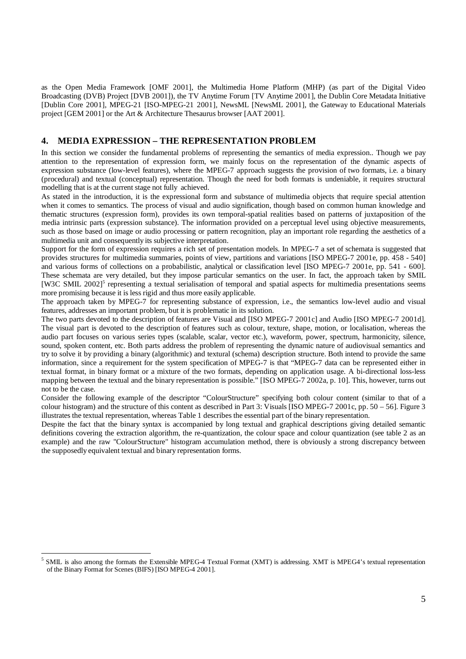as the Open Media Framework [OMF 2001], the Multimedia Home Platform (MHP) (as part of the Digital Video Broadcasting (DVB) Project [DVB 2001]), the TV Anytime Forum [TV Anytime 2001], the Dublin Core Metadata Initiative [Dublin Core 2001], MPEG-21 [ISO-MPEG-21 2001], NewsML [NewsML 2001], the Gateway to Educational Materials project [GEM 2001] or the Art & Architecture Thesaurus browser [AAT 2001].

### **4. MEDIA EXPRESSION – THE REPRESENTATION PROBLEM**

In this section we consider the fundamental problems of representing the semantics of media expression.. Though we pay attention to the representation of expression form, we mainly focus on the representation of the dynamic aspects of expression substance (low-level features), where the MPEG-7 approach suggests the provision of two formats, i.e. a binary (procedural) and textual (conceptual) representation. Though the need for both formats is undeniable, it requires structural modelling that is at the current stage not fully achieved.

As stated in the introduction, it is the expressional form and substance of multimedia objects that require special attention when it comes to semantics. The process of visual and audio signification, though based on common human knowledge and thematic structures (expression form), provides its own temporal-spatial realities based on patterns of juxtaposition of the media intrinsic parts (expression substance). The information provided on a perceptual level using objective measurements, such as those based on image or audio processing or pattern recognition, play an important role regarding the aesthetics of a multimedia unit and consequently its subjective interpretation.

Support for the form of expression requires a rich set of presentation models. In MPEG-7 a set of schemata is suggested that provides structures for multimedia summaries, points of view, partitions and variations [ISO MPEG-7 2001e, pp. 458 - 540] and various forms of collections on a probabilistic, analytical or classification level [ISO MPEG-7 2001e, pp. 541 - 600]. These schemata are very detailed, but they impose particular semantics on the user. In fact, the approach taken by SMIL [W3C SMIL 2002]<sup>5</sup> representing a textual serialisation of temporal and spatial aspects for multimedia presentations seems more promising because it is less rigid and thus more easily applicable.

The approach taken by MPEG-7 for representing substance of expression, i.e., the semantics low-level audio and visual features, addresses an important problem, but it is problematic in its solution.

The two parts devoted to the description of features are Visual and [ISO MPEG-7 2001c] and Audio [ISO MPEG-7 2001d]. The visual part is devoted to the description of features such as colour, texture, shape, motion, or localisation, whereas the audio part focuses on various series types (scalable, scalar, vector etc.), waveform, power, spectrum, harmonicity, silence, sound, spoken content, etc. Both parts address the problem of representing the dynamic nature of audiovisual semantics and try to solve it by providing a binary (algorithmic) and textural (schema) description structure. Both intend to provide the same information, since a requirement for the system specification of MPEG-7 is that "MPEG-7 data can be represented either in textual format, in binary format or a mixture of the two formats, depending on application usage. A bi-directional loss-less mapping between the textual and the binary representation is possible." [ISO MPEG-7 2002a, p. 10]. This, however, turns out not to be the case.

Consider the following example of the descriptor "ColourStructure" specifying both colour content (similar to that of a colour histogram) and the structure of this content as described in Part 3: Visuals [ISO MPEG-7 2001c, pp. 50 – 56]. Figure 3 illustrates the textual representation, whereas Table 1 describes the essential part of the binary representation.

Despite the fact that the binary syntax is accompanied by long textual and graphical descriptions giving detailed semantic definitions covering the extraction algorithm, the re-quantization, the colour space and colour quantization (see table 2 as an example) and the raw "ColourStructure" histogram accumulation method, there is obviously a strong discrepancy between the supposedly equivalent textual and binary representation forms.

 $\frac{1}{5}$  SMIL is also among the formats the Extensible MPEG-4 Textual Format (XMT) is addressing. XMT is MPEG4's textual representation of the Binary Format for Scenes (BIFS) [ISO MPEG-4 2001].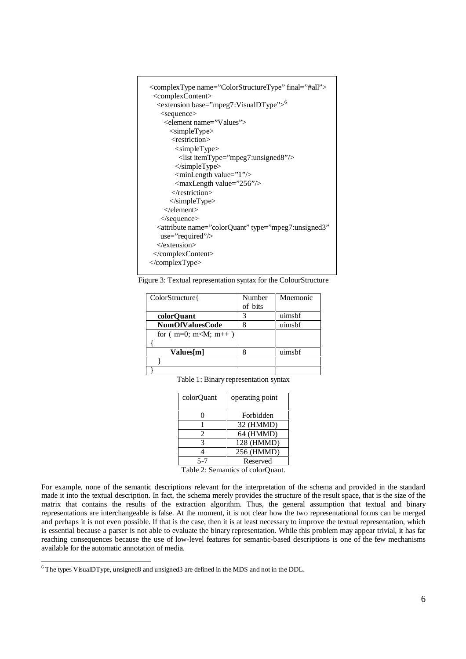

Figure 3: Textual representation syntax for the ColourStructure

| ColorStructure{        | Number  | Mnemonic |
|------------------------|---------|----------|
|                        | of bits |          |
| colorOuant             | 3       | uimsbf   |
| <b>NumOfValuesCode</b> |         | uimsbf   |
| for $(m=0; m< M; m++)$ |         |          |
|                        |         |          |
| Values[m]              |         | uimshf   |
|                        |         |          |
|                        |         |          |

Table 1: Binary representation syntax

| colorOuant | operating point |  |
|------------|-----------------|--|
|            | Forbidden       |  |
|            | 32 (HMMD)       |  |
| 2          | 64 (HMMD)       |  |
| 3          | 128 (HMMD)      |  |
|            | 256 (HMMD)      |  |
| 5-7        | Reserved        |  |
|            |                 |  |

Table 2: Semantics of colorQuant.

For example, none of the semantic descriptions relevant for the interpretation of the schema and provided in the standard made it into the textual description. In fact, the schema merely provides the structure of the result space, that is the size of the matrix that contains the results of the extraction algorithm. Thus, the general assumption that textual and binary representations are interchangeable is false. At the moment, it is not clear how the two representational forms can be merged and perhaps it is not even possible. If that is the case, then it is at least necessary to improve the textual representation, which is essential because a parser is not able to evaluate the binary representation. While this problem may appear trivial, it has far reaching consequences because the use of low-level features for semantic-based descriptions is one of the few mechanisms available for the automatic annotation of media.

 $\frac{1}{6}$ The types VisualDType, unsigned8 and unsigned3 are defined in the MDS and not in the DDL.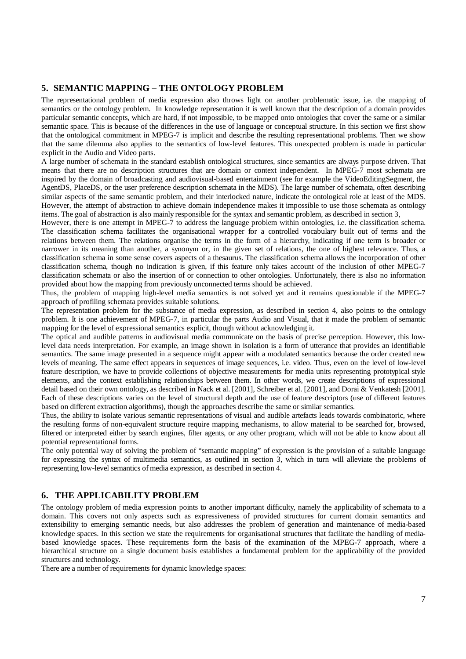#### **5. SEMANTIC MAPPING – THE ONTOLOGY PROBLEM**

The representational problem of media expression also throws light on another problematic issue, i.e. the mapping of semantics or the ontology problem. In knowledge representation it is well known that the description of a domain provides particular semantic concepts, which are hard, if not impossible, to be mapped onto ontologies that cover the same or a similar semantic space. This is because of the differences in the use of language or conceptual structure. In this section we first show that the ontological commitment in MPEG-7 is implicit and describe the resulting representational problems. Then we show that the same dilemma also applies to the semantics of low-level features. This unexpected problem is made in particular explicit in the Audio and Video parts.

A large number of schemata in the standard establish ontological structures, since semantics are always purpose driven. That means that there are no description structures that are domain or context independent. In MPEG-7 most schemata are inspired by the domain of broadcasting and audiovisual-based entertainment (see for example the VideoEditingSegment, the AgentDS, PlaceDS, or the user preference description schemata in the MDS). The large number of schemata, often describing similar aspects of the same semantic problem, and their interlocked nature, indicate the ontological role at least of the MDS. However, the attempt of abstraction to achieve domain independence makes it impossible to use those schemata as ontology items. The goal of abstraction is also mainly responsible for the syntax and semantic problem, as described in section 3,

However, there is one attempt in MPEG-7 to address the language problem within ontologies, i.e. the classification schema. The classification schema facilitates the organisational wrapper for a controlled vocabulary built out of terms and the relations between them. The relations organise the terms in the form of a hierarchy, indicating if one term is broader or narrower in its meaning than another, a synonym or, in the given set of relations, the one of highest relevance. Thus, a classification schema in some sense covers aspects of a thesaurus. The classification schema allows the incorporation of other classification schema, though no indication is given, if this feature only takes account of the inclusion of other MPEG-7 classification schemata or also the insertion of or connection to other ontologies. Unfortunately, there is also no information provided about how the mapping from previously unconnected terms should be achieved.

Thus, the problem of mapping high-level media semantics is not solved yet and it remains questionable if the MPEG-7 approach of profiling schemata provides suitable solutions.

The representation problem for the substance of media expression, as described in section 4, also points to the ontology problem. It is one achievement of MPEG-7, in particular the parts Audio and Visual, that it made the problem of semantic mapping for the level of expressional semantics explicit, though without acknowledging it.

The optical and audible patterns in audiovisual media communicate on the basis of precise perception. However, this lowlevel data needs interpretation. For example, an image shown in isolation is a form of utterance that provides an identifiable semantics. The same image presented in a sequence might appear with a modulated semantics because the order created new levels of meaning. The same effect appears in sequences of image sequences, i.e. video. Thus, even on the level of low-level feature description, we have to provide collections of objective measurements for media units representing prototypical style elements, and the context establishing relationships between them. In other words, we create descriptions of expressional detail based on their own ontology, as described in Nack et al. [2001], Schreiber et al. [2001], and Dorai & Venkatesh [2001]. Each of these descriptions varies on the level of structural depth and the use of feature descriptors (use of different features based on different extraction algorithms), though the approaches describe the same or similar semantics.

Thus, the ability to isolate various semantic representations of visual and audible artefacts leads towards combinatoric, where the resulting forms of non-equivalent structure require mapping mechanisms, to allow material to be searched for, browsed, filtered or interpreted either by search engines, filter agents, or any other program, which will not be able to know about all potential representational forms.

The only potential way of solving the problem of "semantic mapping" of expression is the provision of a suitable language for expressing the syntax of multimedia semantics, as outlined in section 3, which in turn will alleviate the problems of representing low-level semantics of media expression, as described in section 4.

## **6. THE APPLICABILITY PROBLEM**

The ontology problem of media expression points to another important difficulty, namely the applicability of schemata to a domain. This covers not only aspects such as expressiveness of provided structures for current domain semantics and extensibility to emerging semantic needs, but also addresses the problem of generation and maintenance of media-based knowledge spaces. In this section we state the requirements for organisational structures that facilitate the handling of mediabased knowledge spaces. These requirements form the basis of the examination of the MPEG-7 approach, where a hierarchical structure on a single document basis establishes a fundamental problem for the applicability of the provided structures and technology.

There are a number of requirements for dynamic knowledge spaces: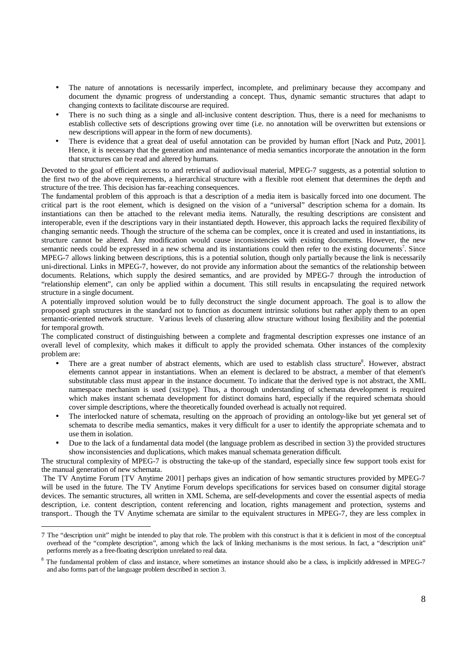- The nature of annotations is necessarily imperfect, incomplete, and preliminary because they accompany and document the dynamic progress of understanding a concept. Thus, dynamic semantic structures that adapt to changing contexts to facilitate discourse are required.
- There is no such thing as a single and all-inclusive content description. Thus, there is a need for mechanisms to establish collective sets of descriptions growing over time (i.e. no annotation will be overwritten but extensions or new descriptions will appear in the form of new documents).
- There is evidence that a great deal of useful annotation can be provided by human effort [Nack and Putz, 2001]. Hence, it is necessary that the generation and maintenance of media semantics incorporate the annotation in the form that structures can be read and altered by humans.

Devoted to the goal of efficient access to and retrieval of audiovisual material, MPEG-7 suggests, as a potential solution to the first two of the above requirements, a hierarchical structure with a flexible root element that determines the depth and structure of the tree. This decision has far-reaching consequences.

The fundamental problem of this approach is that a description of a media item is basically forced into one document. The critical part is the root element, which is designed on the vision of a "universal" description schema for a domain. Its instantiations can then be attached to the relevant media items. Naturally, the resulting descriptions are consistent and interoperable, even if the descriptions vary in their instantiated depth. However, this approach lacks the required flexibility of changing semantic needs. Though the structure of the schema can be complex, once it is created and used in instantiations, its structure cannot be altered. Any modification would cause inconsistencies with existing documents. However, the new semantic needs could be expressed in a new schema and its instantiations could then refer to the existing documents<sup>7</sup>. Since MPEG-7 allows linking between descriptions, this is a potential solution, though only partially because the link is necessarily uni-directional. Links in MPEG-7, however, do not provide any information about the semantics of the relationship between documents. Relations, which supply the desired semantics, and are provided by MPEG-7 through the introduction of "relationship element", can only be applied within a document. This still results in encapsulating the required network structure in a single document.

A potentially improved solution would be to fully deconstruct the single document approach. The goal is to allow the proposed graph structures in the standard not to function as document intrinsic solutions but rather apply them to an open semantic-oriented network structure. Various levels of clustering allow structure without losing flexibility and the potential for temporal growth.

The complicated construct of distinguishing between a complete and fragmental description expresses one instance of an overall level of complexity, which makes it difficult to apply the provided schemata. Other instances of the complexity problem are:

- There are a great number of abstract elements, which are used to establish class structure<sup>8</sup>. However, abstract elements cannot appear in instantiations. When an element is declared to be abstract, a member of that element's substitutable class must appear in the instance document. To indicate that the derived type is not abstract, the XML namespace mechanism is used (xsi:type). Thus, a thorough understanding of schemata development is required which makes instant schemata development for distinct domains hard, especially if the required schemata should cover simple descriptions, where the theoretically founded overhead is actually not required.
- The interlocked nature of schemata, resulting on the approach of providing an ontology-like but yet general set of schemata to describe media semantics, makes it very difficult for a user to identify the appropriate schemata and to use them in isolation.
- Due to the lack of a fundamental data model (the language problem as described in section 3) the provided structures show inconsistencies and duplications, which makes manual schemata generation difficult.

The structural complexity of MPEG-7 is obstructing the take-up of the standard, especially since few support tools exist for the manual generation of new schemata.

 The TV Anytime Forum [TV Anytime 2001] perhaps gives an indication of how semantic structures provided by MPEG-7 will be used in the future. The TV Anytime Forum develops specifications for services based on consumer digital storage devices. The semantic structures, all written in XML Schema, are self-developments and cover the essential aspects of media description, i.e. content description, content referencing and location, rights management and protection, systems and transport.. Though the TV Anytime schemata are similar to the equivalent structures in MPEG-7, they are less complex in

 <sup>7</sup> The "description unit" might be intended to play that role. The problem with this construct is that it is deficient in most of the conceptual overhead of the "complete description", among which the lack of linking mechanisms is the most serious. In fact, a "description unit" performs merely as a free-floating description unrelated to real data.

<sup>&</sup>lt;sup>8</sup> The fundamental problem of class and instance, where sometimes an instance should also be a class, is implicitly addressed in MPEG-7 and also forms part of the language problem described in section 3.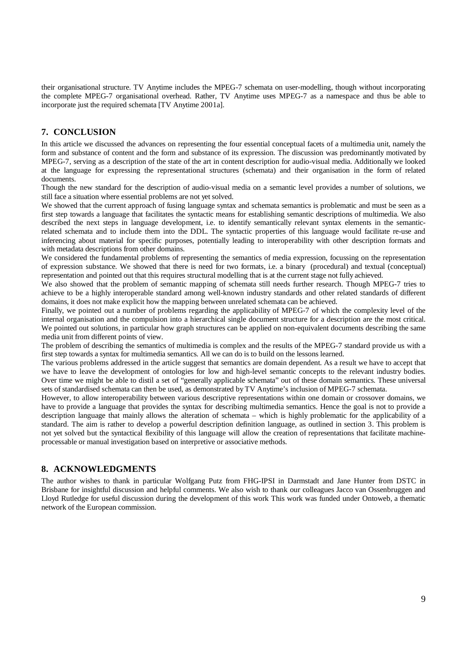their organisational structure. TV Anytime includes the MPEG-7 schemata on user-modelling, though without incorporating the complete MPEG-7 organisational overhead. Rather, TV Anytime uses MPEG-7 as a namespace and thus be able to incorporate just the required schemata [TV Anytime 2001a].

# **7. CONCLUSION**

In this article we discussed the advances on representing the four essential conceptual facets of a multimedia unit, namely the form and substance of content and the form and substance of its expression. The discussion was predominantly motivated by MPEG-7, serving as a description of the state of the art in content description for audio-visual media. Additionally we looked at the language for expressing the representational structures (schemata) and their organisation in the form of related documents.

Though the new standard for the description of audio-visual media on a semantic level provides a number of solutions, we still face a situation where essential problems are not yet solved.

We showed that the current approach of fusing language syntax and schemata semantics is problematic and must be seen as a first step towards a language that facilitates the syntactic means for establishing semantic descriptions of multimedia. We also described the next steps in language development, i.e. to identify semantically relevant syntax elements in the semanticrelated schemata and to include them into the DDL. The syntactic properties of this language would facilitate re-use and inferencing about material for specific purposes, potentially leading to interoperability with other description formats and with metadata descriptions from other domains.

We considered the fundamental problems of representing the semantics of media expression, focussing on the representation of expression substance. We showed that there is need for two formats, i.e. a binary (procedural) and textual (conceptual) representation and pointed out that this requires structural modelling that is at the current stage not fully achieved.

We also showed that the problem of semantic mapping of schemata still needs further research. Though MPEG-7 tries to achieve to be a highly interoperable standard among well-known industry standards and other related standards of different domains, it does not make explicit how the mapping between unrelated schemata can be achieved.

Finally, we pointed out a number of problems regarding the applicability of MPEG-7 of which the complexity level of the internal organisation and the compulsion into a hierarchical single document structure for a description are the most critical. We pointed out solutions, in particular how graph structures can be applied on non-equivalent documents describing the same media unit from different points of view.

The problem of describing the semantics of multimedia is complex and the results of the MPEG-7 standard provide us with a first step towards a syntax for multimedia semantics. All we can do is to build on the lessons learned.

The various problems addressed in the article suggest that semantics are domain dependent. As a result we have to accept that we have to leave the development of ontologies for low and high-level semantic concepts to the relevant industry bodies. Over time we might be able to distil a set of "generally applicable schemata" out of these domain semantics. These universal sets of standardised schemata can then be used, as demonstrated by TV Anytime's inclusion of MPEG-7 schemata.

However, to allow interoperability between various descriptive representations within one domain or crossover domains, we have to provide a language that provides the syntax for describing multimedia semantics. Hence the goal is not to provide a description language that mainly allows the alteration of schemata – which is highly problematic for the applicability of a standard. The aim is rather to develop a powerful description definition language, as outlined in section 3. This problem is not yet solved but the syntactical flexibility of this language will allow the creation of representations that facilitate machineprocessable or manual investigation based on interpretive or associative methods.

### **8. ACKNOWLEDGMENTS**

The author wishes to thank in particular Wolfgang Putz from FHG-IPSI in Darmstadt and Jane Hunter from DSTC in Brisbane for insightful discussion and helpful comments. We also wish to thank our colleagues Jacco van Ossenbruggen and Lloyd Rutledge for useful discussion during the development of this work This work was funded under Ontoweb, a thematic network of the European commission.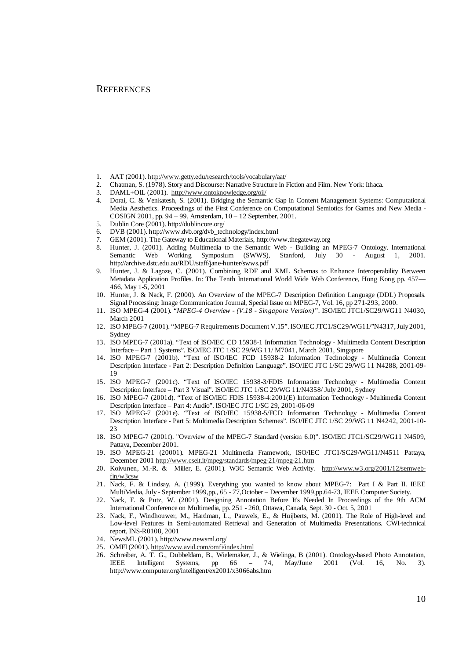#### **REFERENCES**

- 1. AAT (2001). http://www.getty.edu/research/tools/vocabulary/aat/
- 2. Chatman, S. (1978). Story and Discourse: Narrative Structure in Fiction and Film. New York: Ithaca.<br>3. DAML+OIL (2001). http://www.ontoknowledge.org/oil/
- DAML+OIL (2001). http://www.ontoknowledge.org/oil/
- 4. Dorai, C. & Venkatesh, S. (2001). Bridging the Semantic Gap in Content Management Systems: Computational Media Aesthetics. Proceedings of the First Conference on Computational Semiotics for Games and New Media - COSIGN 2001, pp. 94 – 99, Amsterdam, 10 – 12 September, 2001.
- 5. Dublin Core (2001). http://dublincore.org/
- 6. DVB (2001). http://www.dvb.org/dvb\_technology/index.html
- 7. GEM (2001). The Gateway to Educational Materials, http://www.thegateway.org
- 8. Hunter, J. (2001). Adding Multimedia to the Semantic Web Building an MPEG-7 Ontology. International Semantic Web Working Symposium (SWWS), Stanford, July 30 - August 1, 2001. http://archive.dstc.edu.au/RDU/staff/jane-hunter/swws.pdf
- 9. Hunter, J. & Lagoze, C. (2001). Combining RDF and XML Schemas to Enhance Interoperability Between Metadata Application Profiles. In: The Tenth International World Wide Web Conference, Hong Kong pp. 457— 466, May 1-5, 2001
- 10. Hunter, J. & Nack, F. (2000). An Overview of the MPEG-7 Description Definition Language (DDL) Proposals. Signal Processing: Image Communication Journal, Special Issue on MPEG-7, Vol. 16, pp 271-293, 2000.
- 11. ISO MPEG-4 (2001). "*MPEG-4 Overview (V.18 Singapore Version)".* ISO/IEC JTC1/SC29/WG11 N4030, March 2001
- 12. ISO MPEG-7 (2001). "MPEG-7 Requirements Document V.15". ISO/IEC JTC1/SC29/WG11/"N4317, July 2001, Sydney
- 13. ISO MPEG-7 (2001a). "Text of ISO/IEC CD 15938-1 Information Technology Multimedia Content Description Interface – Part 1 Systems". ISO/IEC JTC 1/SC 29/WG 11/ M7041, March 2001, Singapore
- 14. ISO MPEG-7 (2001b). "Text of ISO/IEC FCD 15938-2 Information Technology Multimedia Content Description Interface - Part 2: Description Definition Language". ISO/IEC JTC 1/SC 29/WG 11 N4288, 2001-09- 19
- 15. ISO MPEG-7 (2001c). "Text of ISO/IEC 15938-3/FDIS Information Technology Multimedia Content Description Interface – Part 3 Visual". ISO/IEC JTC 1/SC 29/WG 11/N4358/ July 2001, Sydney
- 16. ISO MPEG-7 (2001d). "Text of ISO/IEC FDIS 15938-4:2001(E) Information Technology Multimedia Content Description Interface – Part 4: Audio". ISO/IEC JTC 1/SC 29, 2001-06-09
- 17. ISO MPEG-7 (2001e). "Text of ISO/IEC 15938-5/FCD Information Technology Multimedia Content Description Interface - Part 5: Multimedia Description Schemes". ISO/IEC JTC 1/SC 29/WG 11 N4242, 2001-10-  $23$
- 18. ISO MPEG-7 (2001f). "Overview of the MPEG-7 Standard (version 6.0)". ISO/IEC JTC1/SC29/WG11 N4509, Pattaya, December 2001.
- 19. ISO MPEG-21 (20001). MPEG-21 Multimedia Framework, ISO/IEC JTC1/SC29/WG11/N4511 Pattaya, December 2001 http://www.cselt.it/mpeg/standards/mpeg-21/mpeg-21.htm
- 20. Koivunen, M.-R. & Miller, E. (2001). W3C Semantic Web Activity. http://www.w3.org/2001/12/semwebfin/w3csw
- 21. Nack, F. & Lindsay, A. (1999). Everything you wanted to know about MPEG-7: Part I & Part II. IEEE MultiMedia, July - September 1999,pp., 65 - 77,October – December 1999,pp.64-73, IEEE Computer Society.
- 22. Nack, F. & Putz, W. (2001). Designing Annotation Before It's Needed In Proceedings of the 9th ACM International Conference on Multimedia, pp. 251 - 260, Ottawa, Canada, Sept. 30 - Oct. 5, 2001
- 23. Nack, F., Windhouwer, M., Hardman, L., Pauwels, E., & Huijberts, M. (2001). The Role of High-level and Low-level Features in Semi-automated Retrieval and Generation of Multimedia Presentations. CWI-technical report, INS-R0108, 2001
- 24. NewsML (2001). http://www.newsml.org/
- 25. OMFI (2001). http://www.avid.com/omfi/index.html
- 26. Schreiber, A. T. G., Dubbeldam, B., Wielemaker, J., & Wielinga, B (2001). Ontology-based Photo Annotation, IEEE Intelligent Systems, pp 66 – 74, May/June 2001 (Vol. 16, No. 3). http://www.computer.org/intelligent/ex2001/x3066abs.htm